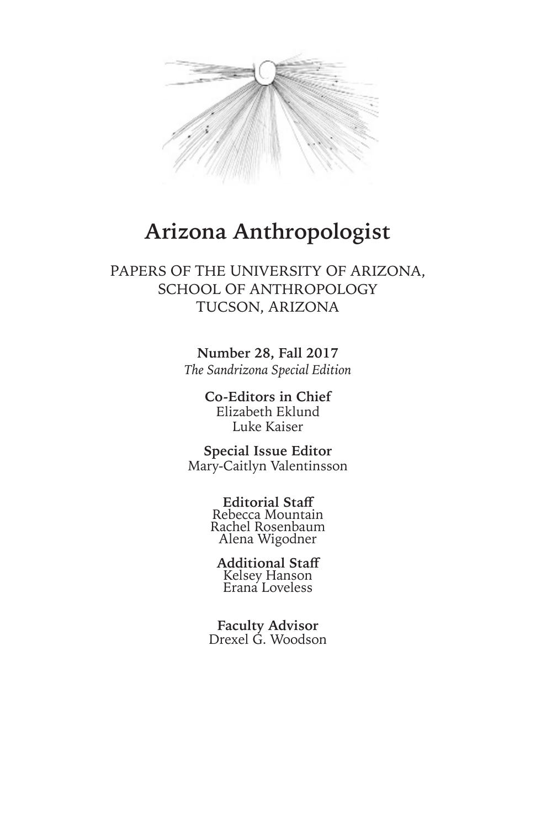

## **Arizona Anthropologist**

## PAPERS OF THE UNIVERSITY OF ARIZONA, SCHOOL OF ANTHROPOLOGY TUCSON, ARIZONA

**Number 28, Fall 2017** *The Sandrizona Special Edition*

> **Co-Editors in Chief** Elizabeth Eklund Luke Kaiser

**Special Issue Editor** Mary-Caitlyn Valentinsson

> **Editorial Staff**  Rebecca Mountain Rachel Rosenbaum Alena Wigodner

**Additional Staff** Kelsey Hanson Erana Loveless

**Faculty Advisor** Drexel G. Woodson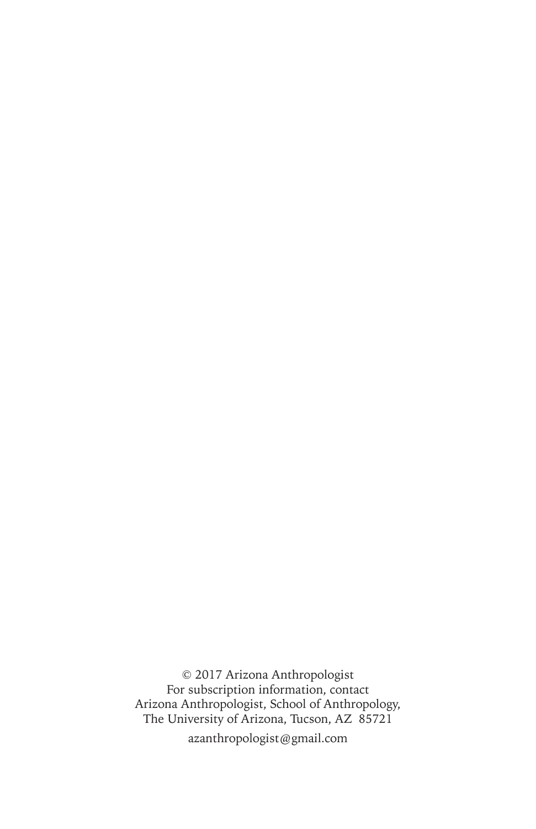© 2017 Arizona Anthropologist For subscription information, contact Arizona Anthropologist, School of Anthropology, The University of Arizona, Tucson, AZ 85721 azanthropologist@gmail.com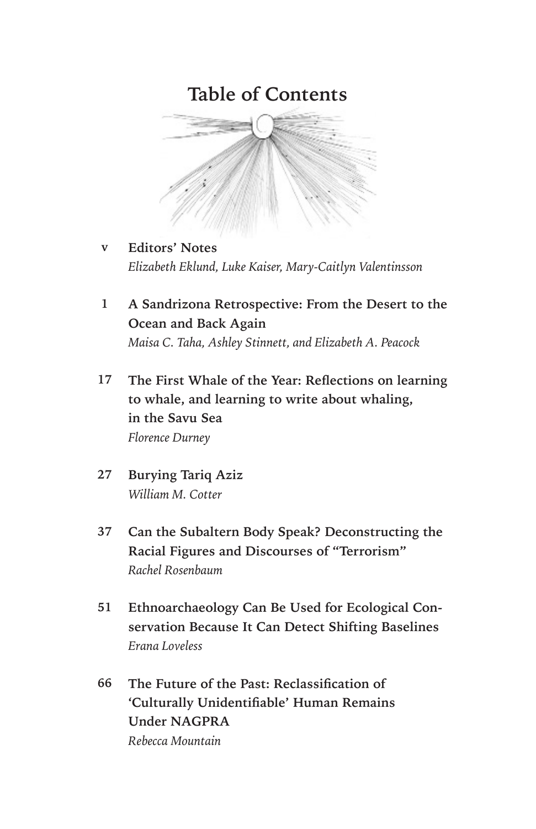## **Table of Contents**



- **Editors' Notes** *Elizabeth Eklund, Luke Kaiser, Mary-Caitlyn Valentinsson* **v**
- **A Sandrizona Retrospective: From the Desert to the Ocean and Back Again** *Maisa C. Taha, Ashley Stinnett, and Elizabeth A. Peacock* **1**
- **The First Whale of the Year: Reflections on learning to whale, and learning to write about whaling, in the Savu Sea** *Florence Durney* **17**
- **Burying Tariq Aziz** *William M. Cotter* **27**
- **Can the Subaltern Body Speak? Deconstructing the Racial Figures and Discourses of "Terrorism"** *Rachel Rosenbaum* **37**
- **Ethnoarchaeology Can Be Used for Ecological Conservation Because It Can Detect Shifting Baselines** *Erana Loveless* **51**
- **The Future of the Past: Reclassification of 'Culturally Unidentifiable' Human Remains Under NAGPRA** *Rebecca Mountain* **66**